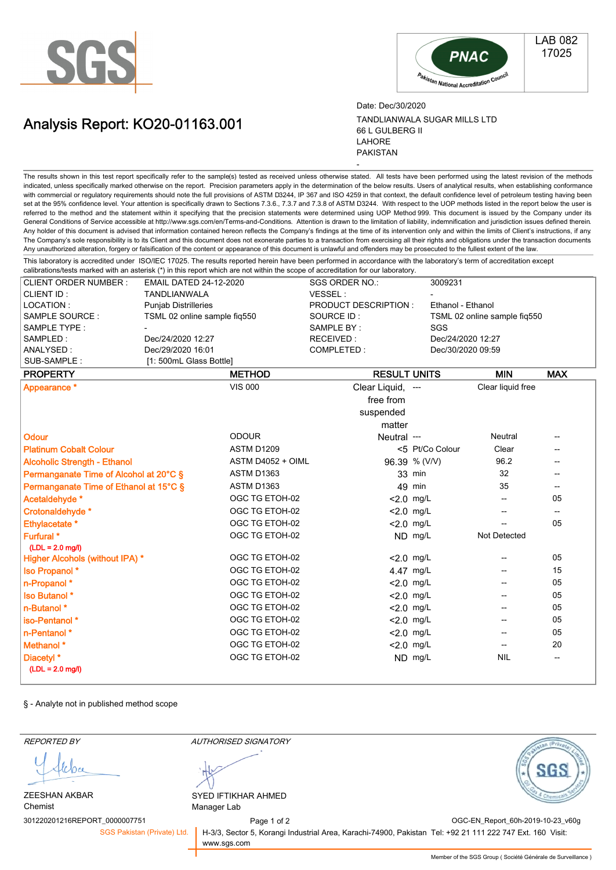

## Analysis Report: KO20-01163.001



Date: Dec/30/2020 TANDLIANWALA SUGAR MILLS LTD 66 L GULBERG II LAHORE PAKISTAN

The results shown in this test report specifically refer to the sample(s) tested as received unless otherwise stated. All tests have been performed using the latest revision of the methods indicated, unless specifically marked otherwise on the report. Precision parameters apply in the determination of the below results. Users of analytical results, when establishing conformance with commercial or regulatory requirements should note the full provisions of ASTM D3244, IP 367 and ISO 4259 in that context, the default confidence level of petroleum testing having been set at the 95% confidence level. Your attention is specifically drawn to Sections 7.3.6., 7.3.7 and 7.3.8 of ASTM D3244. With respect to the UOP methods listed in the report below the user is referred to the method and the statement within it specifying that the precision statements were determined using UOP Method 999. This document is issued by the Company under its General Conditions of Service accessible at http://www.sgs.com/en/Terms-and-Conditions. Attention is drawn to the limitation of liability, indemnification and jurisdiction issues defined therein. Any holder of this document is advised that information contained hereon reflects the Company's findings at the time of its intervention only and within the limits of Client's instructions, if any. The Company's sole responsibility is to its Client and this document does not exonerate parties to a transaction from exercising all their rights and obligations under the transaction documents. Any unauthorized alteration, forgery or falsification of the content or appearance of this document is unlawful and offenders may be prosecuted to the fullest extent of the law.

-

This laboratory is accredited under ISO/IEC 17025. The results reported herein have been performed in accordance with the laboratory's term of accreditation except calibrations/tests marked with an asterisk (\*) in this report which are not within the scope of accreditation for our laboratory.

| <b>CLIENT ORDER NUMBER:</b>                    | <b>EMAIL DATED 24-12-2020</b> |                   | <b>SGS ORDER NO.:</b>                      | 3009231           |                   |            |  |
|------------------------------------------------|-------------------------------|-------------------|--------------------------------------------|-------------------|-------------------|------------|--|
| CLIENT ID:                                     | <b>TANDLIANWALA</b>           |                   | <b>VESSEL:</b>                             |                   |                   |            |  |
| LOCATION:                                      | <b>Punjab Distrilleries</b>   |                   | PRODUCT DESCRIPTION :<br>Ethanol - Ethanol |                   |                   |            |  |
| SAMPLE SOURCE:<br>TSML 02 online sample fiq550 |                               | SOURCE ID:        | TSML 02 online sample fig550               |                   |                   |            |  |
| <b>SAMPLE TYPE:</b>                            |                               |                   | SAMPLE BY:<br>SGS                          |                   |                   |            |  |
| SAMPLED:                                       | Dec/24/2020 12:27             |                   | RECEIVED:                                  |                   | Dec/24/2020 12:27 |            |  |
| ANALYSED:                                      | Dec/29/2020 16:01             |                   | COMPLETED:                                 | Dec/30/2020 09:59 |                   |            |  |
| SUB-SAMPLE:                                    | [1: 500mL Glass Bottle]       |                   |                                            |                   |                   |            |  |
| <b>PROPERTY</b>                                |                               | <b>METHOD</b>     | <b>RESULT UNITS</b>                        |                   | <b>MIN</b>        | <b>MAX</b> |  |
| Appearance *                                   |                               | <b>VIS 000</b>    | Clear Liquid, --                           |                   | Clear liquid free |            |  |
|                                                |                               |                   | free from                                  |                   |                   |            |  |
|                                                |                               |                   | suspended                                  |                   |                   |            |  |
|                                                |                               |                   | matter                                     |                   |                   |            |  |
| Odour                                          |                               | <b>ODOUR</b>      | Neutral ---                                |                   | Neutral           |            |  |
| <b>Platinum Cobalt Colour</b>                  |                               | <b>ASTM D1209</b> |                                            | <5 Pt/Co Colour   | Clear             |            |  |
| <b>Alcoholic Strength - Ethanol</b>            |                               | ASTM D4052 + OIML |                                            | 96.39 % (V/V)     | 96.2              |            |  |
| Permanganate Time of Alcohol at 20°C §         |                               | ASTM D1363        |                                            | 33 min            | 32                |            |  |
| Permanganate Time of Ethanol at 15°C §         |                               | ASTM D1363        |                                            | 49 min            | 35                |            |  |
| Acetaldehyde *                                 |                               | OGC TG ETOH-02    |                                            | $< 2.0$ mg/L      | --                | 05         |  |
| Crotonaldehyde *                               |                               | OGC TG ETOH-02    |                                            | $< 2.0$ mg/L      |                   |            |  |
| Ethylacetate *                                 |                               | OGC TG ETOH-02    |                                            | $< 2.0$ mg/L      |                   | 05         |  |
| Furfural *                                     |                               | OGC TG ETOH-02    |                                            | ND mg/L           | Not Detected      |            |  |
| $(LDL = 2.0$ mg/l)                             |                               |                   |                                            |                   |                   |            |  |
| <b>Higher Alcohols (without IPA) *</b>         |                               | OGC TG ETOH-02    |                                            | $< 2.0$ mg/L      |                   | 05         |  |
| Iso Propanol *                                 |                               | OGC TG ETOH-02    |                                            | 4.47 mg/L         |                   | 15         |  |
| n-Propanol*                                    |                               | OGC TG ETOH-02    |                                            | $< 2.0$ mg/L      | $-$               | 05         |  |
| Iso Butanol *                                  |                               | OGC TG ETOH-02    |                                            | $< 2.0$ mg/L      |                   | 05         |  |
| n-Butanol*                                     |                               | OGC TG ETOH-02    |                                            | $< 2.0$ mg/L      |                   | 05         |  |
| iso-Pentanol*                                  |                               | OGC TG ETOH-02    |                                            | $< 2.0$ mg/L      | $-$               | 05         |  |
| n-Pentanol *                                   |                               | OGC TG ETOH-02    |                                            | $< 2.0$ mg/L      |                   | 05         |  |
| Methanol *                                     |                               | OGC TG ETOH-02    |                                            | $< 2.0$ mg/L      |                   | 20         |  |
| Diacetyl <sup>*</sup>                          |                               | OGC TG ETOH-02    |                                            | ND mg/L           | <b>NIL</b>        |            |  |
| $(LDL = 2.0$ mg/l)                             |                               |                   |                                            |                   |                   |            |  |

§ - Analyte not in published method scope

| <i>REPORTED BY</i>            |                             | AUTHORISED SIGNATORY                                                                                                     |                                                            |
|-------------------------------|-----------------------------|--------------------------------------------------------------------------------------------------------------------------|------------------------------------------------------------|
|                               |                             |                                                                                                                          |                                                            |
| <b>ZEESHAN AKBAR</b>          |                             | SYED IFTIKHAR AHMED                                                                                                      |                                                            |
| Chemist                       |                             | Manager Lab                                                                                                              |                                                            |
| 301220201216REPORT_0000007751 |                             | Page 1 of 2                                                                                                              | OGC-EN Report 60h-2019-10-23 v60g                          |
|                               | SGS Pakistan (Private) Ltd. | H-3/3, Sector 5, Korangi Industrial Area, Karachi-74900, Pakistan Tel: +92 21 111 222 747 Ext. 160 Visit:<br>www.sgs.com |                                                            |
|                               |                             |                                                                                                                          | Member of the SGS Group (Société Générale de Surveillance) |